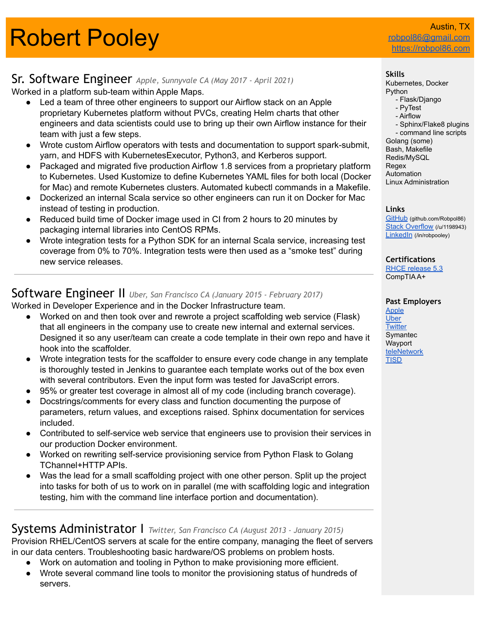# **Robert Pooley**

robpol86@gmail <https://robpol86.com>

## Sr. Software Engineer *Apple, Sunnyvale CA (May <sup>2017</sup> - April 2021)*

Worked in a platform sub-team within Apple Maps.

- Led a team of three other engineers to support our Airflow stack on an Apple proprietary Kubernetes platform without PVCs, creating Helm charts that other engineers and data scientists could use to bring up their own Airflow instance for their team with just a few steps.
- Wrote custom Airflow operators with tests and documentation to support spark-submit, yarn, and HDFS with KubernetesExecutor, Python3, and Kerberos support.
- Packaged and migrated five production Airflow 1.8 services from a proprietary platform to Kubernetes. Used Kustomize to define Kubernetes YAML files for both local (Docker for Mac) and remote Kubernetes clusters. Automated kubectl commands in a Makefile.
- Dockerized an internal Scala service so other engineers can run it on Docker for Mac instead of testing in production.
- Reduced build time of Docker image used in CI from 2 hours to 20 minutes by packaging internal libraries into CentOS RPMs.
- Wrote integration tests for a Python SDK for an internal Scala service, increasing test coverage from 0% to 70%. Integration tests were then used as a "smoke test" during new service releases.

## Software Engineer II *Uber, San Francisco CA (January <sup>2015</sup> - February 2017)*

Worked in Developer Experience and in the Docker Infrastructure team.

- Worked on and then took over and rewrote a project scaffolding web service (Flask) that all engineers in the company use to create new internal and external services. Designed it so any user/team can create a code template in their own repo and have it hook into the scaffolder.
- Wrote integration tests for the scaffolder to ensure every code change in any template is thoroughly tested in Jenkins to guarantee each template works out of the box even with several contributors. Even the input form was tested for JavaScript errors.
- 95% or greater test coverage in almost all of my code (including branch coverage).
- Docstrings/comments for every class and function documenting the purpose of parameters, return values, and exceptions raised. Sphinx documentation for services included.
- Contributed to self-service web service that engineers use to provision their services in our production Docker environment.
- Worked on rewriting self-service provisioning service from Python Flask to Golang TChannel+HTTP APIs.
- Was the lead for a small scaffolding project with one other person. Split up the project into tasks for both of us to work on in parallel (me with scaffolding logic and integration testing, him with the command line interface portion and documentation).

## Systems Administrator I *Twitter, San Francisco CA (August <sup>2013</sup> - January 2015)*

Provision RHEL/CentOS servers at scale for the entire company, managing the fleet of servers in our data centers. Troubleshooting basic hardware/OS problems on problem hosts.

- Work on automation and tooling in Python to make provisioning more efficient.
- Wrote several command line tools to monitor the provisioning status of hundreds of servers.

#### **Skills**

Kubernetes, Docker Python - Flask/Django

- PyTest
- Airflow
- Sphinx/Flake8 plugins - command line scripts Golang (some) Bash, Makefile Redis/MySQL Regex Automation Linux Administration

#### **Links**

[GitHub](https://github.com/Robpol86/) (github.com/Robpol86) [Stack Overflow](https://stackoverflow.com/users/1198943/robpol86) (/u/1198943) [LinkedIn](https://www.linkedin.com/in/robpooley) (/in/robpooley)

**Certifications** [RHCE release 5.3](https://www.redhat.com/rhtapps/certification/verify/?certId=110-435-039)

CompTIA A+

#### **Past Employers**

[Apple](https://www.apple.com/) [Uber](https://www.uber.com/) **[Twitter](https://about.twitter.com/)** Symantec Wayport [teleNetwork](https://www.telenetwork.com/) **[TISD](http://www.tisd.net/about/)**